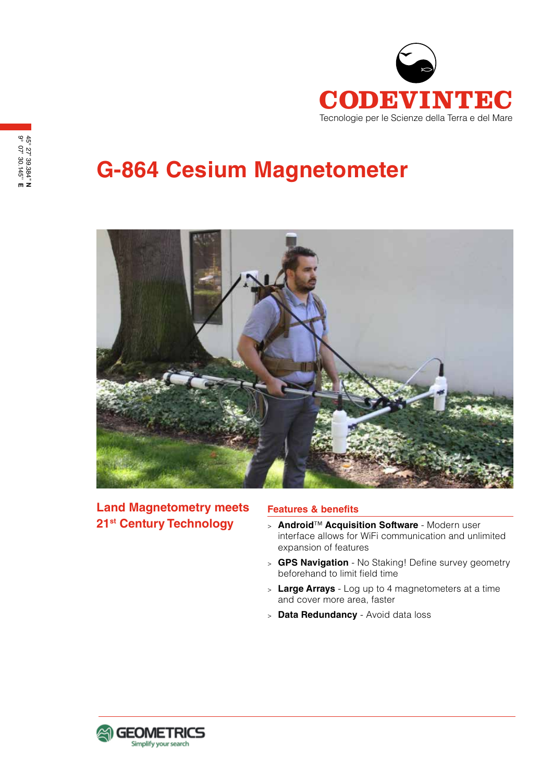

# **G-864 Cesium Magnetometer**



**Land Magnetometry meets 21st Century Technology**

#### **Features & benefits**

- <sup>&</sup>gt; **Android**™ **Acquisition Software** Modern user interface allows for WiFi communication and unlimited expansion of features
- <sup>&</sup>gt; **GPS Navigation** No Staking! Define survey geometry beforehand to limit field time
- <sup>&</sup>gt; **Large Arrays** Log up to 4 magnetometers at a time and cover more area, faster
- <sup>&</sup>gt; **Data Redundancy** Avoid data loss

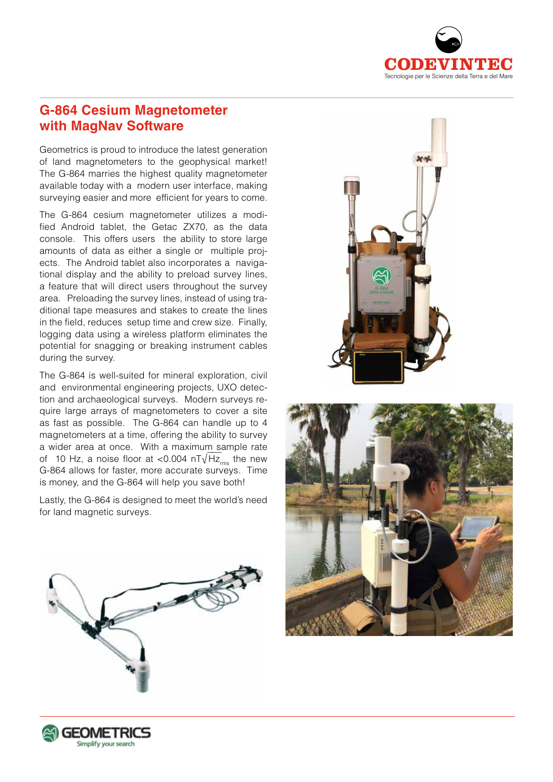

## **G-864 Cesium Magnetometer with MagNav Software**

Geometrics is proud to introduce the latest generation of land magnetometers to the geophysical market! The G-864 marries the highest quality magnetometer available today with a modern user interface, making surveying easier and more efficient for years to come.

The G-864 cesium magnetometer utilizes a modified Android tablet, the Getac ZX70, as the data console. This offers users the ability to store large amounts of data as either a single or multiple projects. The Android tablet also incorporates a navigational display and the ability to preload survey lines, a feature that will direct users throughout the survey area. Preloading the survey lines, instead of using traditional tape measures and stakes to create the lines in the field, reduces setup time and crew size. Finally, logging data using a wireless platform eliminates the potential for snagging or breaking instrument cables during the survey.

The G-864 is well-suited for mineral exploration, civil and environmental engineering projects, UXO detection and archaeological surveys. Modern surveys require large arrays of magnetometers to cover a site as fast as possible. The G-864 can handle up to 4 magnetometers at a time, offering the ability to survey a wider area at once. With a maximum sample rate a which area at once. With a maximum sample rate of 10 Hz, a noise floor at <0.004  $nT\sqrt{Hz_{\text{rms}}}$  the new G-864 allows for faster, more accurate surveys. Time is money, and the G-864 will help you save both!

Lastly, the G-864 is designed to meet the world's need for land magnetic surveys.







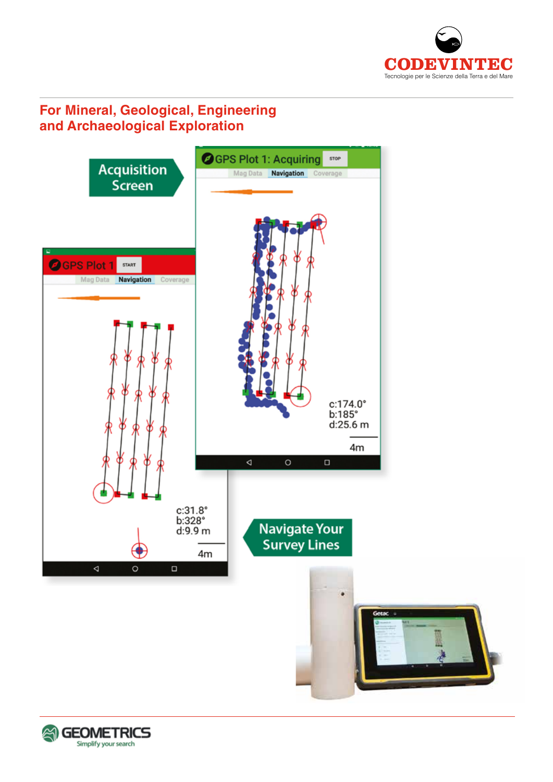

# **For Mineral, Geological, Engineering and Archaeological Exploration**